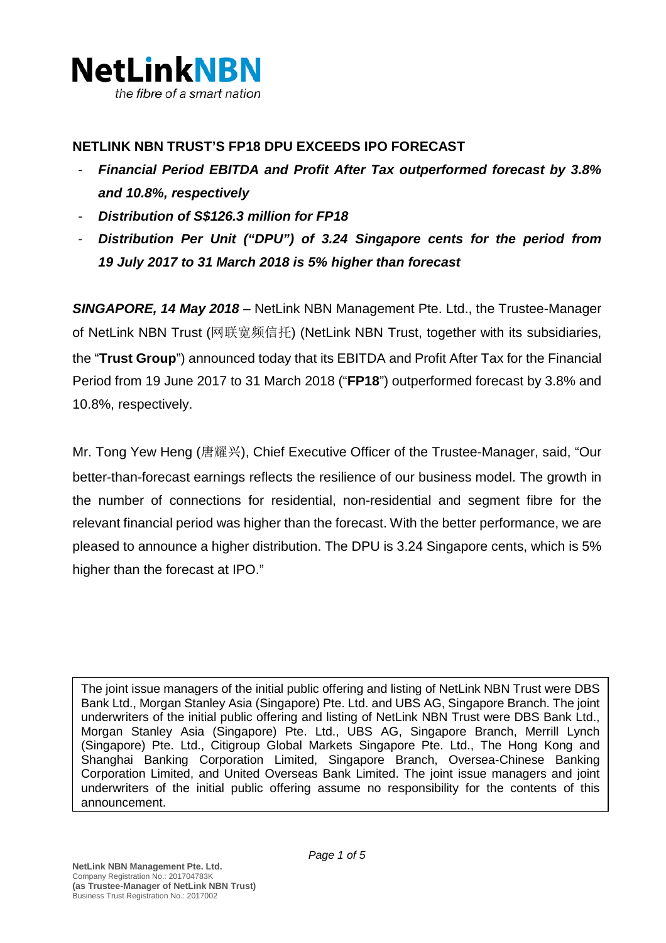

## **NETLINK NBN TRUST'S FP18 DPU EXCEEDS IPO FORECAST**

- *Financial Period EBITDA and Profit After Tax outperformed forecast by 3.8% and 10.8%, respectively*
- *Distribution of S\$126.3 million for FP18*
- *Distribution Per Unit ("DPU") of 3.24 Singapore cents for the period from 19 July 2017 to 31 March 2018 is 5% higher than forecast*

*SINGAPORE, 14 May 2018 –* NetLink NBN Management Pte. Ltd., the Trustee-Manager of NetLink NBN Trust (网联宽频信托) (NetLink NBN Trust, together with its subsidiaries, the "**Trust Group**") announced today that its EBITDA and Profit After Tax for the Financial Period from 19 June 2017 to 31 March 2018 ("**FP18**") outperformed forecast by 3.8% and 10.8%, respectively.

Mr. Tong Yew Heng (唐耀兴), Chief Executive Officer of the Trustee-Manager, said, "Our better-than-forecast earnings reflects the resilience of our business model. The growth in the number of connections for residential, non-residential and segment fibre for the relevant financial period was higher than the forecast. With the better performance, we are pleased to announce a higher distribution. The DPU is 3.24 Singapore cents, which is 5% higher than the forecast at IPO."

The joint issue managers of the initial public offering and listing of NetLink NBN Trust were DBS Bank Ltd., Morgan Stanley Asia (Singapore) Pte. Ltd. and UBS AG, Singapore Branch. The joint underwriters of the initial public offering and listing of NetLink NBN Trust were DBS Bank Ltd., Morgan Stanley Asia (Singapore) Pte. Ltd., UBS AG, Singapore Branch, Merrill Lynch (Singapore) Pte. Ltd., Citigroup Global Markets Singapore Pte. Ltd., The Hong Kong and Shanghai Banking Corporation Limited, Singapore Branch, Oversea-Chinese Banking Corporation Limited, and United Overseas Bank Limited. The joint issue managers and joint underwriters of the initial public offering assume no responsibility for the contents of this announcement.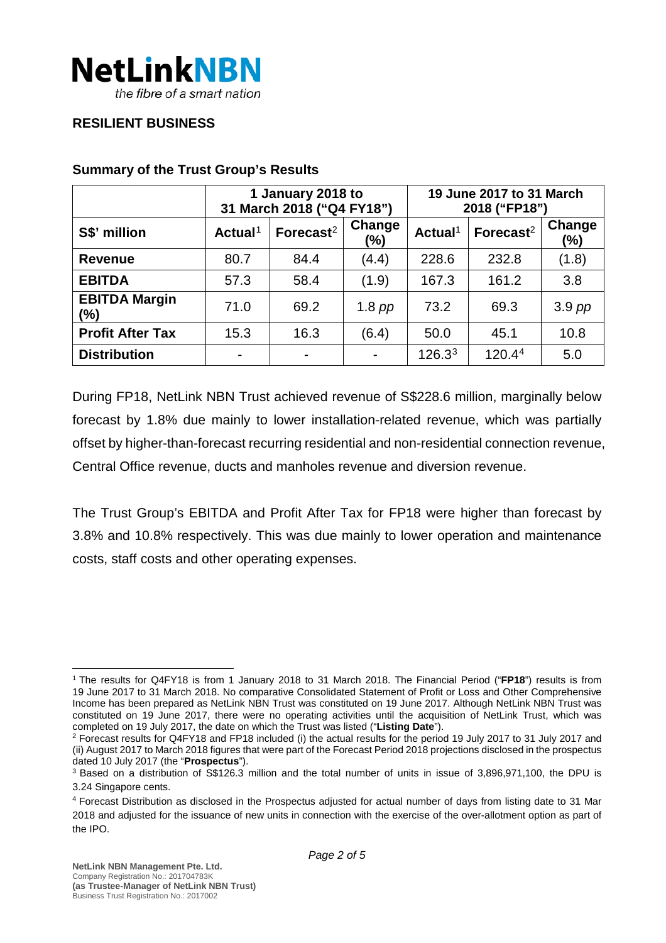

### **RESILIENT BUSINESS**

|                             | 1 January 2018 to<br>31 March 2018 ("Q4 FY18") |                       |                          | 19 June 2017 to 31 March<br>2018 ("FP18") |                       |               |
|-----------------------------|------------------------------------------------|-----------------------|--------------------------|-------------------------------------------|-----------------------|---------------|
| S\$' million                | Actual <sup>1</sup>                            | Forecast <sup>2</sup> | Change<br>(%)            | Actual <sup>1</sup>                       | Forecast <sup>2</sup> | Change<br>(%) |
| <b>Revenue</b>              | 80.7                                           | 84.4                  | (4.4)                    | 228.6                                     | 232.8                 | (1.8)         |
| <b>EBITDA</b>               | 57.3                                           | 58.4                  | (1.9)                    | 167.3                                     | 161.2                 | 3.8           |
| <b>EBITDA Margin</b><br>(%) | 71.0                                           | 69.2                  | 1.8 $pp$                 | 73.2                                      | 69.3                  | $3.9$ pp      |
| <b>Profit After Tax</b>     | 15.3                                           | 16.3                  | (6.4)                    | 50.0                                      | 45.1                  | 10.8          |
| <b>Distribution</b>         | $\blacksquare$                                 | -                     | $\overline{\phantom{0}}$ | 126.3 <sup>3</sup>                        | 120.44                | 5.0           |

#### **Summary of the Trust Group's Results**

During FP18, NetLink NBN Trust achieved revenue of S\$228.6 million, marginally below forecast by 1.8% due mainly to lower installation-related revenue, which was partially offset by higher-than-forecast recurring residential and non-residential connection revenue, Central Office revenue, ducts and manholes revenue and diversion revenue.

The Trust Group's EBITDA and Profit After Tax for FP18 were higher than forecast by 3.8% and 10.8% respectively. This was due mainly to lower operation and maintenance costs, staff costs and other operating expenses.

<span id="page-1-0"></span><sup>1</sup> The results for Q4FY18 is from 1 January 2018 to 31 March 2018. The Financial Period ("**FP18**") results is from 19 June 2017 to 31 March 2018. No comparative Consolidated Statement of Profit or Loss and Other Comprehensive Income has been prepared as NetLink NBN Trust was constituted on 19 June 2017. Although NetLink NBN Trust was constituted on 19 June 2017, there were no operating activities until the acquisition of NetLink Trust, which was completed on 19 July 2017, the date on which the Trust was listed ("**Listing Date**").

<span id="page-1-1"></span><sup>2</sup> Forecast results for Q4FY18 and FP18 included (i) the actual results for the period 19 July 2017 to 31 July 2017 and (ii) August 2017 to March 2018 figures that were part of the Forecast Period 2018 projections disclosed in the prospectus dated 10 July 2017 (the "**Prospectus**").

<span id="page-1-2"></span><sup>3</sup> Based on a distribution of S\$126.3 million and the total number of units in issue of 3,896,971,100, the DPU is 3.24 Singapore cents.

<span id="page-1-3"></span><sup>4</sup> Forecast Distribution as disclosed in the Prospectus adjusted for actual number of days from listing date to 31 Mar 2018 and adjusted for the issuance of new units in connection with the exercise of the over-allotment option as part of the IPO.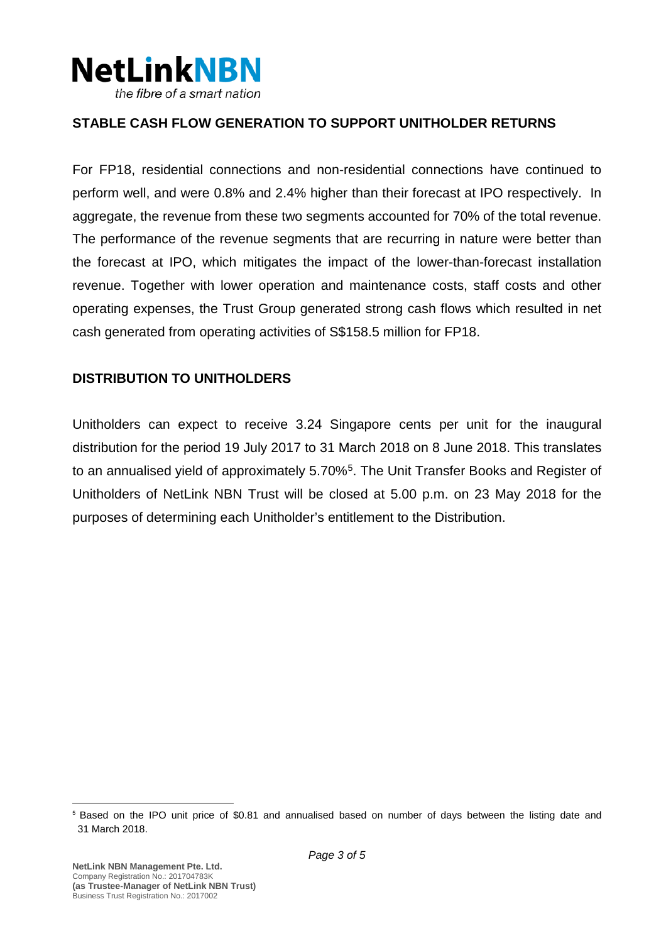

## **STABLE CASH FLOW GENERATION TO SUPPORT UNITHOLDER RETURNS**

For FP18, residential connections and non-residential connections have continued to perform well, and were 0.8% and 2.4% higher than their forecast at IPO respectively. In aggregate, the revenue from these two segments accounted for 70% of the total revenue. The performance of the revenue segments that are recurring in nature were better than the forecast at IPO, which mitigates the impact of the lower-than-forecast installation revenue. Together with lower operation and maintenance costs, staff costs and other operating expenses, the Trust Group generated strong cash flows which resulted in net cash generated from operating activities of S\$158.5 million for FP18.

### **DISTRIBUTION TO UNITHOLDERS**

Unitholders can expect to receive 3.24 Singapore cents per unit for the inaugural distribution for the period 19 July 2017 to 31 March 2018 on 8 June 2018. This translates to an annualised yield of approximately [5](#page-2-0).70%<sup>5</sup>. The Unit Transfer Books and Register of Unitholders of NetLink NBN Trust will be closed at 5.00 p.m. on 23 May 2018 for the purposes of determining each Unitholder's entitlement to the Distribution.

<span id="page-2-0"></span><sup>5</sup> Based on the IPO unit price of \$0.81 and annualised based on number of days between the listing date and 31 March 2018.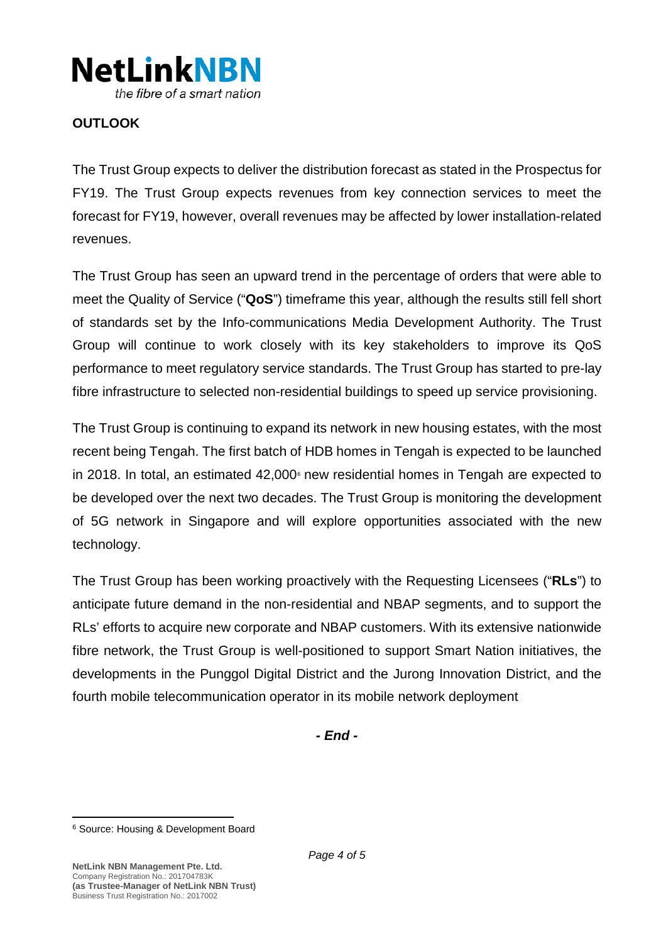

# **OUTLOOK**

The Trust Group expects to deliver the distribution forecast as stated in the Prospectus for FY19. The Trust Group expects revenues from key connection services to meet the forecast for FY19, however, overall revenues may be affected by lower installation-related revenues.

The Trust Group has seen an upward trend in the percentage of orders that were able to meet the Quality of Service ("**QoS**") timeframe this year, although the results still fell short of standards set by the Info-communications Media Development Authority. The Trust Group will continue to work closely with its key stakeholders to improve its QoS performance to meet regulatory service standards. The Trust Group has started to pre-lay fibre infrastructure to selected non-residential buildings to speed up service provisioning.

The Trust Group is continuing to expand its network in new housing estates, with the most recent being Tengah. The first batch of HDB homes in Tengah is expected to be launched in 2018. In total, an estimated  $42,000$ <sup> $\circ$ </sup> new residential homes in Tengah are expected to be developed over the next two decades. The Trust Group is monitoring the development of 5G network in Singapore and will explore opportunities associated with the new technology.

The Trust Group has been working proactively with the Requesting Licensees ("**RLs**") to anticipate future demand in the non-residential and NBAP segments, and to support the RLs' efforts to acquire new corporate and NBAP customers. With its extensive nationwide fibre network, the Trust Group is well-positioned to support Smart Nation initiatives, the developments in the Punggol Digital District and the Jurong Innovation District, and the fourth mobile telecommunication operator in its mobile network deployment

*- End -*

<span id="page-3-0"></span><sup>6</sup> Source: Housing & Development Board